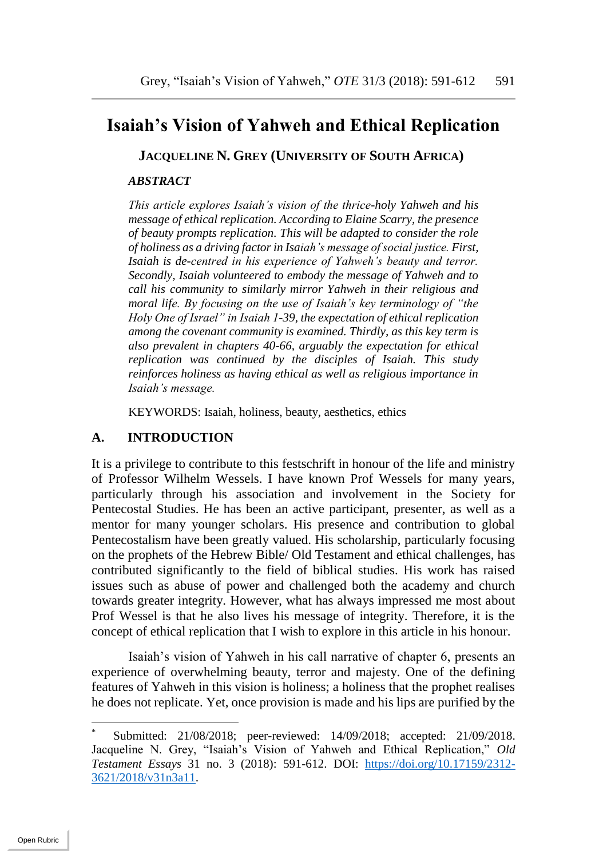# **Isaiah's Vision of Yahweh and Ethical Replication**

**JACQUELINE N. GREY (UNIVERSITY OF SOUTH AFRICA) \***

#### *ABSTRACT*

*This article explores Isaiah's vision of the thrice-holy Yahweh and his message of ethical replication. According to Elaine Scarry, the presence of beauty prompts replication. This will be adapted to consider the role of holiness as a driving factor in Isaiah's message of social justice. First, Isaiah is de-centred in his experience of Yahweh's beauty and terror. Secondly, Isaiah volunteered to embody the message of Yahweh and to call his community to similarly mirror Yahweh in their religious and moral life. By focusing on the use of Isaiah's key terminology of "the Holy One of Israel" in Isaiah 1-39, the expectation of ethical replication among the covenant community is examined. Thirdly, as this key term is also prevalent in chapters 40-66, arguably the expectation for ethical replication was continued by the disciples of Isaiah. This study reinforces holiness as having ethical as well as religious importance in Isaiah's message.* 

KEYWORDS: Isaiah, holiness, beauty, aesthetics, ethics

#### **A. INTRODUCTION**

It is a privilege to contribute to this festschrift in honour of the life and ministry of Professor Wilhelm Wessels. I have known Prof Wessels for many years, particularly through his association and involvement in the Society for Pentecostal Studies. He has been an active participant, presenter, as well as a mentor for many younger scholars. His presence and contribution to global Pentecostalism have been greatly valued. His scholarship, particularly focusing on the prophets of the Hebrew Bible/ Old Testament and ethical challenges, has contributed significantly to the field of biblical studies. His work has raised issues such as abuse of power and challenged both the academy and church towards greater integrity. However, what has always impressed me most about Prof Wessel is that he also lives his message of integrity. Therefore, it is the concept of ethical replication that I wish to explore in this article in his honour.

Isaiah's vision of Yahweh in his call narrative of chapter 6, presents an experience of overwhelming beauty, terror and majesty. One of the defining features of Yahweh in this vision is holiness; a holiness that the prophet realises he does not replicate. Yet, once provision is made and his lips are purified by the

Submitted: 21/08/2018; peer-reviewed: 14/09/2018; accepted: 21/09/2018. Jacqueline N. Grey, "Isaiah's Vision of Yahweh and Ethical Replication," *Old Testament Essays* 31 no. 3 (2018): 591-612. DOI: [https://doi.org/10.17159/2312-](https://doi.org/10.17159/2312-3621/2018/v31n3a11) [3621/2018/v31n3a11.](https://doi.org/10.17159/2312-3621/2018/v31n3a11)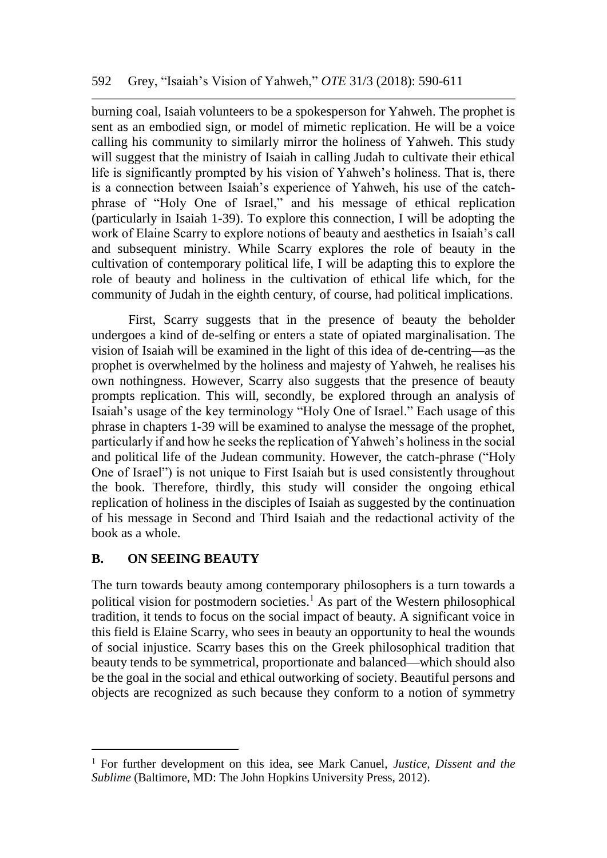burning coal, Isaiah volunteers to be a spokesperson for Yahweh. The prophet is sent as an embodied sign, or model of mimetic replication. He will be a voice calling his community to similarly mirror the holiness of Yahweh. This study will suggest that the ministry of Isaiah in calling Judah to cultivate their ethical life is significantly prompted by his vision of Yahweh's holiness. That is, there is a connection between Isaiah's experience of Yahweh, his use of the catchphrase of "Holy One of Israel," and his message of ethical replication (particularly in Isaiah 1-39). To explore this connection, I will be adopting the work of Elaine Scarry to explore notions of beauty and aesthetics in Isaiah's call and subsequent ministry. While Scarry explores the role of beauty in the cultivation of contemporary political life, I will be adapting this to explore the role of beauty and holiness in the cultivation of ethical life which, for the community of Judah in the eighth century, of course, had political implications.

First, Scarry suggests that in the presence of beauty the beholder undergoes a kind of de-selfing or enters a state of opiated marginalisation. The vision of Isaiah will be examined in the light of this idea of de-centring—as the prophet is overwhelmed by the holiness and majesty of Yahweh, he realises his own nothingness. However, Scarry also suggests that the presence of beauty prompts replication. This will, secondly, be explored through an analysis of Isaiah's usage of the key terminology "Holy One of Israel." Each usage of this phrase in chapters 1-39 will be examined to analyse the message of the prophet, particularly if and how he seeks the replication of Yahweh's holiness in the social and political life of the Judean community. However, the catch-phrase ("Holy One of Israel") is not unique to First Isaiah but is used consistently throughout the book. Therefore, thirdly, this study will consider the ongoing ethical replication of holiness in the disciples of Isaiah as suggested by the continuation of his message in Second and Third Isaiah and the redactional activity of the book as a whole.

### **B. ON SEEING BEAUTY**

The turn towards beauty among contemporary philosophers is a turn towards a political vision for postmodern societies.<sup>1</sup> As part of the Western philosophical tradition, it tends to focus on the social impact of beauty. A significant voice in this field is Elaine Scarry, who sees in beauty an opportunity to heal the wounds of social injustice. Scarry bases this on the Greek philosophical tradition that beauty tends to be symmetrical, proportionate and balanced—which should also be the goal in the social and ethical outworking of society. Beautiful persons and objects are recognized as such because they conform to a notion of symmetry

For further development on this idea, see Mark Canuel, *Justice, Dissent and the Sublime* (Baltimore, MD: The John Hopkins University Press, 2012).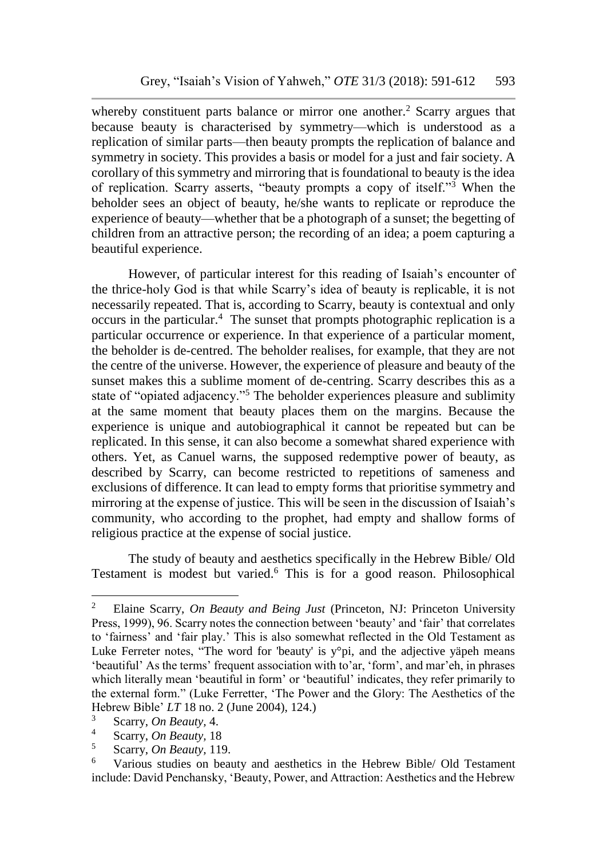whereby constituent parts balance or mirror one another.<sup>2</sup> Scarry argues that because beauty is characterised by symmetry—which is understood as a replication of similar parts—then beauty prompts the replication of balance and symmetry in society. This provides a basis or model for a just and fair society. A corollary of this symmetry and mirroring that is foundational to beauty is the idea of replication. Scarry asserts, "beauty prompts a copy of itself."<sup>3</sup> When the beholder sees an object of beauty, he/she wants to replicate or reproduce the experience of beauty—whether that be a photograph of a sunset; the begetting of children from an attractive person; the recording of an idea; a poem capturing a beautiful experience.

However, of particular interest for this reading of Isaiah's encounter of the thrice-holy God is that while Scarry's idea of beauty is replicable, it is not necessarily repeated. That is, according to Scarry, beauty is contextual and only occurs in the particular.<sup>4</sup> The sunset that prompts photographic replication is a particular occurrence or experience. In that experience of a particular moment, the beholder is de-centred. The beholder realises, for example, that they are not the centre of the universe. However, the experience of pleasure and beauty of the sunset makes this a sublime moment of de-centring. Scarry describes this as a state of "opiated adjacency."<sup>5</sup> The beholder experiences pleasure and sublimity at the same moment that beauty places them on the margins. Because the experience is unique and autobiographical it cannot be repeated but can be replicated. In this sense, it can also become a somewhat shared experience with others. Yet, as Canuel warns, the supposed redemptive power of beauty, as described by Scarry, can become restricted to repetitions of sameness and exclusions of difference. It can lead to empty forms that prioritise symmetry and mirroring at the expense of justice. This will be seen in the discussion of Isaiah's community, who according to the prophet, had empty and shallow forms of religious practice at the expense of social justice.

The study of beauty and aesthetics specifically in the Hebrew Bible/ Old Testament is modest but varied.<sup>6</sup> This is for a good reason. Philosophical

<sup>2</sup> Elaine Scarry, *On Beauty and Being Just* (Princeton, NJ: Princeton University Press, 1999), 96. Scarry notes the connection between 'beauty' and 'fair' that correlates to 'fairness' and 'fair play.' This is also somewhat reflected in the Old Testament as Luke Ferreter notes, "The word for 'beauty' is y°pi, and the adjective yäpeh means 'beautiful' As the terms' frequent association with to'ar, 'form', and mar'eh, in phrases which literally mean 'beautiful in form' or 'beautiful' indicates, they refer primarily to the external form." (Luke Ferretter, 'The Power and the Glory: The Aesthetics of the Hebrew Bible' *LT* 18 no. 2 (June 2004), 124.)

<sup>3</sup> Scarry, *On Beauty,* 4.

<sup>4</sup> Scarry, *On Beauty,* 18

<sup>5</sup> Scarry, *On Beauty,* 119.

<sup>6</sup> Various studies on beauty and aesthetics in the Hebrew Bible/ Old Testament include: David Penchansky, 'Beauty, Power, and Attraction: Aesthetics and the Hebrew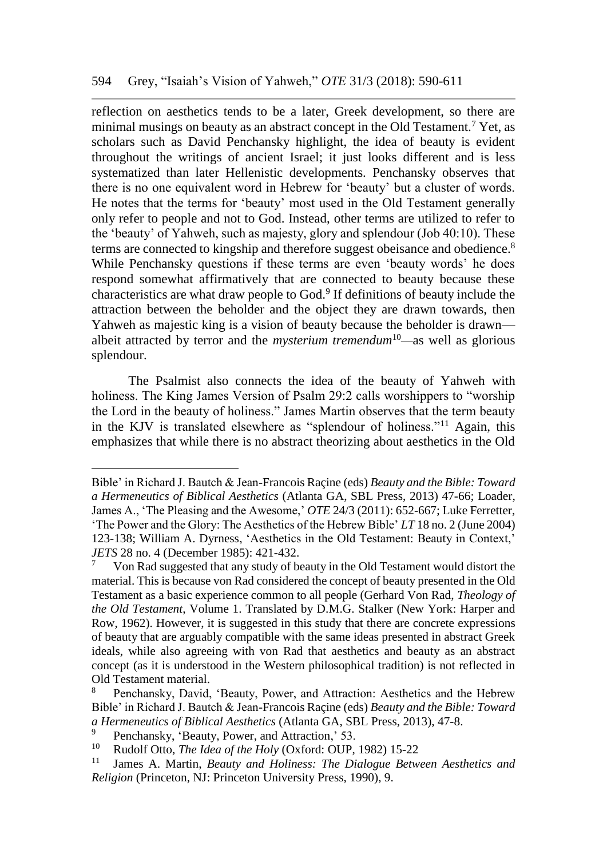reflection on aesthetics tends to be a later, Greek development, so there are minimal musings on beauty as an abstract concept in the Old Testament.<sup>7</sup> Yet, as scholars such as David Penchansky highlight, the idea of beauty is evident throughout the writings of ancient Israel; it just looks different and is less systematized than later Hellenistic developments. Penchansky observes that there is no one equivalent word in Hebrew for 'beauty' but a cluster of words. He notes that the terms for 'beauty' most used in the Old Testament generally only refer to people and not to God. Instead, other terms are utilized to refer to the 'beauty' of Yahweh, such as majesty, glory and splendour (Job 40:10). These terms are connected to kingship and therefore suggest obeisance and obedience.<sup>8</sup> While Penchansky questions if these terms are even 'beauty words' he does respond somewhat affirmatively that are connected to beauty because these characteristics are what draw people to God.<sup>9</sup> If definitions of beauty include the attraction between the beholder and the object they are drawn towards, then Yahweh as majestic king is a vision of beauty because the beholder is drawn albeit attracted by terror and the *mysterium tremendum*<sup>10</sup>*—*as well as glorious splendour.

The Psalmist also connects the idea of the beauty of Yahweh with holiness. The King James Version of Psalm 29:2 calls worshippers to "worship the Lord in the beauty of holiness." James Martin observes that the term beauty in the KJV is translated elsewhere as "splendour of holiness."<sup>11</sup> Again, this emphasizes that while there is no abstract theorizing about aesthetics in the Old

Bible' in Richard J. Bautch & Jean-Francois Raçine (eds) *Beauty and the Bible: Toward a Hermeneutics of Biblical Aesthetics* (Atlanta GA, SBL Press, 2013) 47-66; Loader, James A., 'The Pleasing and the Awesome,' *OTE* 24/3 (2011): 652-667; Luke Ferretter, 'The Power and the Glory: The Aesthetics of the Hebrew Bible' *LT* 18 no. 2 (June 2004) 123-138; William A. Dyrness, 'Aesthetics in the Old Testament: Beauty in Context,' *JETS* 28 no. 4 (December 1985): 421-432.

<sup>7</sup> Von Rad suggested that any study of beauty in the Old Testament would distort the material. This is because von Rad considered the concept of beauty presented in the Old Testament as a basic experience common to all people (Gerhard Von Rad, *Theology of the Old Testament*, Volume 1. Translated by D.M.G. Stalker (New York: Harper and Row, 1962). However, it is suggested in this study that there are concrete expressions of beauty that are arguably compatible with the same ideas presented in abstract Greek ideals, while also agreeing with von Rad that aesthetics and beauty as an abstract concept (as it is understood in the Western philosophical tradition) is not reflected in Old Testament material.

<sup>8</sup> Penchansky, David, 'Beauty, Power, and Attraction: Aesthetics and the Hebrew Bible' in Richard J. Bautch & Jean-Francois Raçine (eds) *Beauty and the Bible: Toward a Hermeneutics of Biblical Aesthetics* (Atlanta GA, SBL Press, 2013), 47-8.

<sup>9</sup> Penchansky, 'Beauty, Power, and Attraction,' 53.

<sup>&</sup>lt;sup>10</sup> Rudolf Otto, *The Idea of the Holy* (Oxford: OUP, 1982) 15-22<br><sup>11</sup> Ignore A. Martin, *Beguty and Holiness: The Diglogue Betw* 

<sup>11</sup> James A. Martin, *Beauty and Holiness: The Dialogue Between Aesthetics and Religion* (Princeton, NJ: Princeton University Press, 1990), 9.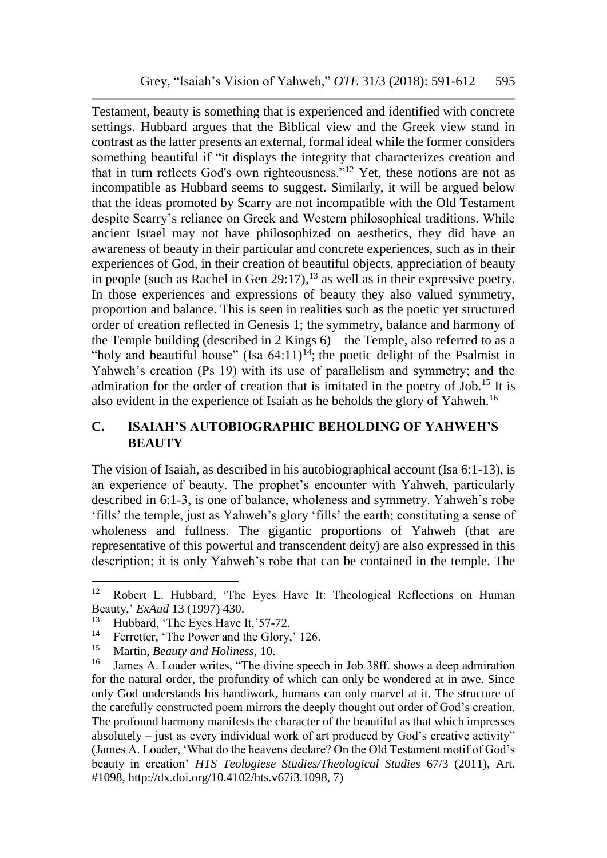Testament, beauty is something that is experienced and identified with concrete settings. Hubbard argues that the Biblical view and the Greek view stand in contrast as the latter presents an external, formal ideal while the former considers something beautiful if "it displays the integrity that characterizes creation and that in turn reflects God's own righteousness."<sup>12</sup> Yet, these notions are not as incompatible as Hubbard seems to suggest. Similarly, it will be argued below that the ideas promoted by Scarry are not incompatible with the Old Testament despite Scarry's reliance on Greek and Western philosophical traditions. While ancient Israel may not have philosophized on aesthetics, they did have an awareness of beauty in their particular and concrete experiences, such as in their experiences of God, in their creation of beautiful objects, appreciation of beauty in people (such as Rachel in Gen 29:17),  $^{13}$  as well as in their expressive poetry. In those experiences and expressions of beauty they also valued symmetry, proportion and balance. This is seen in realities such as the poetic yet structured order of creation reflected in Genesis 1; the symmetry, balance and harmony of the Temple building (described in 2 Kings 6)—the Temple, also referred to as a "holy and beautiful house" (Isa  $64:11$ )<sup>14</sup>; the poetic delight of the Psalmist in Yahweh's creation (Ps 19) with its use of parallelism and symmetry; and the admiration for the order of creation that is imitated in the poetry of Job.<sup>15</sup> It is also evident in the experience of Isaiah as he beholds the glory of Yahweh.<sup>16</sup>

## **C. ISAIAH'S AUTOBIOGRAPHIC BEHOLDING OF YAHWEH'S BEAUTY**

The vision of Isaiah, as described in his autobiographical account (Isa 6:1-13), is an experience of beauty. The prophet's encounter with Yahweh, particularly described in 6:1-3, is one of balance, wholeness and symmetry. Yahweh's robe 'fills' the temple, just as Yahweh's glory 'fills' the earth; constituting a sense of wholeness and fullness. The gigantic proportions of Yahweh (that are representative of this powerful and transcendent deity) are also expressed in this description; it is only Yahweh's robe that can be contained in the temple. The

<sup>&</sup>lt;sup>12</sup> Robert L. Hubbard, 'The Eyes Have It: Theological Reflections on Human Beauty,' *ExAud* 13 (1997) 430.

<sup>&</sup>lt;sup>13</sup> Hubbard, 'The Eyes Have It,' 57-72.

<sup>&</sup>lt;sup>14</sup> Ferretter, 'The Power and the Glory,' 126.<br><sup>15</sup> Mortin *Bosisty and Holiness*, 10

<sup>&</sup>lt;sup>15</sup> Martin, *Beauty and Holiness*, 10.<br><sup>16</sup> Iames A. Loader writes "The div

<sup>16</sup> James A. Loader writes, "The divine speech in Job 38ff. shows a deep admiration for the natural order, the profundity of which can only be wondered at in awe. Since only God understands his handiwork, humans can only marvel at it. The structure of the carefully constructed poem mirrors the deeply thought out order of God's creation. The profound harmony manifests the character of the beautiful as that which impresses absolutely – just as every individual work of art produced by God's creative activity" (James A. Loader, 'What do the heavens declare? On the Old Testament motif of God's beauty in creation' *HTS Teologiese Studies/Theological Studies* 67/3 (2011), Art. #1098, http://dx.doi.org/10.4102/hts.v67i3.1098, 7)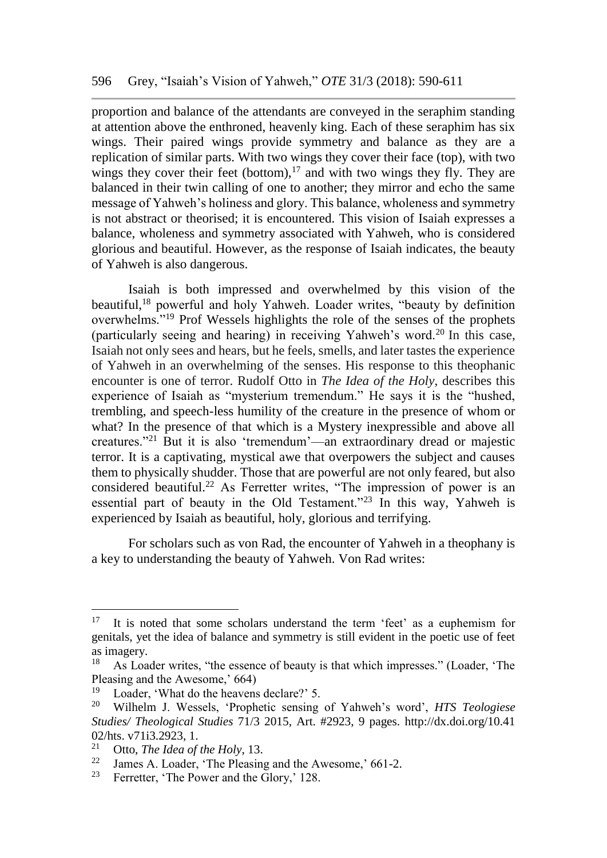proportion and balance of the attendants are conveyed in the seraphim standing at attention above the enthroned, heavenly king. Each of these seraphim has six wings. Their paired wings provide symmetry and balance as they are a replication of similar parts. With two wings they cover their face (top), with two wings they cover their feet (bottom), $17$  and with two wings they fly. They are balanced in their twin calling of one to another; they mirror and echo the same message of Yahweh's holiness and glory. This balance, wholeness and symmetry is not abstract or theorised; it is encountered. This vision of Isaiah expresses a balance, wholeness and symmetry associated with Yahweh, who is considered glorious and beautiful. However, as the response of Isaiah indicates, the beauty of Yahweh is also dangerous.

Isaiah is both impressed and overwhelmed by this vision of the beautiful,<sup>18</sup> powerful and holy Yahweh. Loader writes, "beauty by definition overwhelms."<sup>19</sup> Prof Wessels highlights the role of the senses of the prophets (particularly seeing and hearing) in receiving Yahweh's word.<sup>20</sup> In this case, Isaiah not only sees and hears, but he feels, smells, and later tastes the experience of Yahweh in an overwhelming of the senses. His response to this theophanic encounter is one of terror. Rudolf Otto in *The Idea of the Holy*, describes this experience of Isaiah as "mysterium tremendum." He says it is the "hushed, trembling, and speech-less humility of the creature in the presence of whom or what? In the presence of that which is a Mystery inexpressible and above all creatures."<sup>21</sup> But it is also 'tremendum'—an extraordinary dread or majestic terror. It is a captivating, mystical awe that overpowers the subject and causes them to physically shudder. Those that are powerful are not only feared, but also considered beautiful.<sup>22</sup> As Ferretter writes, "The impression of power is an essential part of beauty in the Old Testament."<sup>23</sup> In this way, Yahweh is experienced by Isaiah as beautiful, holy, glorious and terrifying.

For scholars such as von Rad, the encounter of Yahweh in a theophany is a key to understanding the beauty of Yahweh. Von Rad writes:

 $17$  It is noted that some scholars understand the term 'feet' as a euphemism for genitals, yet the idea of balance and symmetry is still evident in the poetic use of feet as imagery.

<sup>18</sup> As Loader writes, "the essence of beauty is that which impresses." (Loader, 'The Pleasing and the Awesome,'  $664$ )<br><sup>19</sup> I order 'What do the heavens

<sup>&</sup>lt;sup>19</sup> Loader, 'What do the heavens declare?' 5.<br><sup>20</sup> Wilhelm I Wessels 'Prophetic sensing

<sup>20</sup> Wilhelm J. Wessels, 'Prophetic sensing of Yahweh's word', *HTS Teologiese Studies/ Theological Studies* 71/3 2015, Art. #2923, 9 pages. http://dx.doi.org/10.41 02/hts. v71i3.2923, 1.<br> $_{21}^{21}$  Otto The Idea of

<sup>&</sup>lt;sup>21</sup> Otto, *The Idea of the Holy*, 13.<br><sup>22</sup> Ignos A Loader 'The Plassing

<sup>&</sup>lt;sup>22</sup> James A. Loader, 'The Pleasing and the Awesome,' 661-2.<br><sup>23</sup> Eartest 'The Power and the Glory' 128

Ferretter, 'The Power and the Glory,' 128.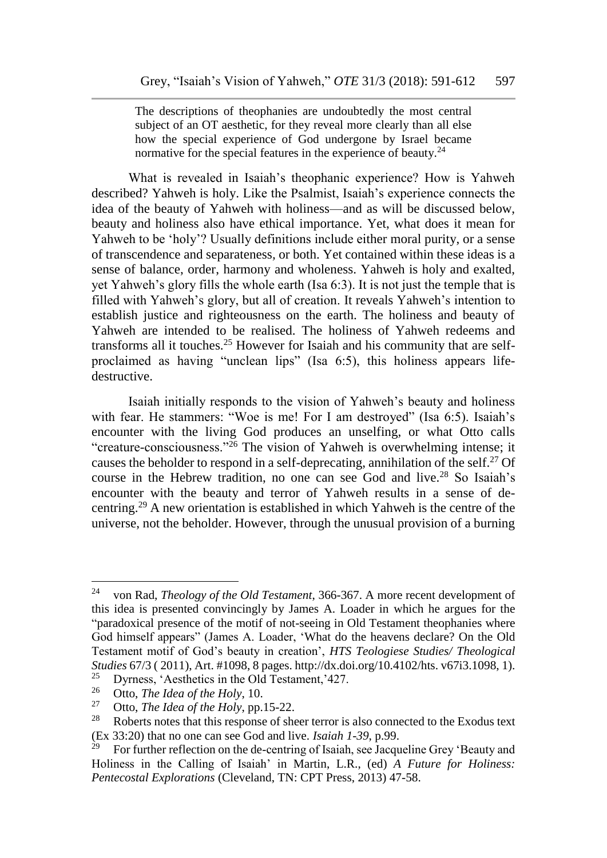The descriptions of theophanies are undoubtedly the most central subject of an OT aesthetic, for they reveal more clearly than all else how the special experience of God undergone by Israel became normative for the special features in the experience of beauty. $^{24}$ 

What is revealed in Isaiah's theophanic experience? How is Yahweh described? Yahweh is holy. Like the Psalmist, Isaiah's experience connects the idea of the beauty of Yahweh with holiness—and as will be discussed below, beauty and holiness also have ethical importance. Yet, what does it mean for Yahweh to be 'holy'? Usually definitions include either moral purity, or a sense of transcendence and separateness*,* or both. Yet contained within these ideas is a sense of balance, order, harmony and wholeness. Yahweh is holy and exalted, yet Yahweh's glory fills the whole earth (Isa 6:3). It is not just the temple that is filled with Yahweh's glory, but all of creation. It reveals Yahweh's intention to establish justice and righteousness on the earth. The holiness and beauty of Yahweh are intended to be realised. The holiness of Yahweh redeems and transforms all it touches.<sup>25</sup> However for Isaiah and his community that are selfproclaimed as having "unclean lips" (Isa 6:5), this holiness appears lifedestructive.

Isaiah initially responds to the vision of Yahweh's beauty and holiness with fear. He stammers: "Woe is me! For I am destroyed" (Isa 6:5). Isaiah's encounter with the living God produces an unselfing, or what Otto calls "creature-consciousness."<sup>26</sup> The vision of Yahweh is overwhelming intense; it causes the beholder to respond in a self-deprecating, annihilation of the self.<sup>27</sup> Of course in the Hebrew tradition, no one can see God and live.<sup>28</sup> So Isaiah's encounter with the beauty and terror of Yahweh results in a sense of decentring.<sup>29</sup> A new orientation is established in which Yahweh is the centre of the universe, not the beholder. However, through the unusual provision of a burning

<sup>24</sup> von Rad, *Theology of the Old Testament*, 366-367. A more recent development of this idea is presented convincingly by James A. Loader in which he argues for the "paradoxical presence of the motif of not-seeing in Old Testament theophanies where God himself appears" (James A. Loader, 'What do the heavens declare? On the Old Testament motif of God's beauty in creation', *HTS Teologiese Studies/ Theological Studies* 67/3 ( 2011), Art. #1098, 8 pages. http://dx.doi.org/10.4102/hts. v67i3.1098, 1).

<sup>&</sup>lt;sup>25</sup> Dyrness, 'Aesthetics in the Old Testament, '427.<br><sup>26</sup> Otto *The Idea of the Holy*, 10

 $\frac{26}{27}$  Otto, *The Idea of the Holy*, 10. <sup>27</sup> Otto, *The Idea of the Holy*, pp.15-22.<br><sup>28</sup> Roberts notes that this response of she

<sup>28</sup> Roberts notes that this response of sheer terror is also connected to the Exodus text (Ex 33:20) that no one can see God and live. *Isaiah 1-39*, p.99.

For further reflection on the de-centring of Isaiah, see Jacqueline Grey 'Beauty and Holiness in the Calling of Isaiah' in Martin, L.R., (ed) *A Future for Holiness: Pentecostal Explorations* (Cleveland, TN: CPT Press, 2013) 47-58.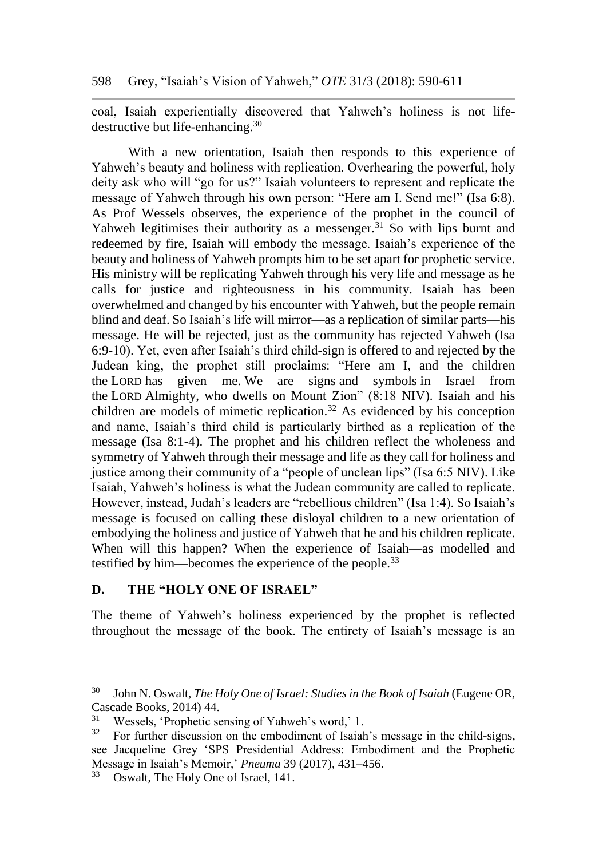coal, Isaiah experientially discovered that Yahweh's holiness is not lifedestructive but life-enhancing.<sup>30</sup>

With a new orientation, Isaiah then responds to this experience of Yahweh's beauty and holiness with replication. Overhearing the powerful, holy deity ask who will "go for us?" Isaiah volunteers to represent and replicate the message of Yahweh through his own person: "Here am I. Send me!" (Isa 6:8). As Prof Wessels observes, the experience of the prophet in the council of Yahweh legitimises their authority as a messenger.<sup>31</sup> So with lips burnt and redeemed by fire, Isaiah will embody the message. Isaiah's experience of the beauty and holiness of Yahweh prompts him to be set apart for prophetic service. His ministry will be replicating Yahweh through his very life and message as he calls for justice and righteousness in his community. Isaiah has been overwhelmed and changed by his encounter with Yahweh, but the people remain blind and deaf. So Isaiah's life will mirror—as a replication of similar parts—his message. He will be rejected, just as the community has rejected Yahweh (Isa 6:9-10). Yet, even after Isaiah's third child-sign is offered to and rejected by the Judean king, the prophet still proclaims: "Here am I, and the children the LORD has given me. We are signs and symbols in Israel from the LORD Almighty, who dwells on Mount Zion" (8:18 NIV). Isaiah and his children are models of mimetic replication.<sup>32</sup> As evidenced by his conception and name, Isaiah's third child is particularly birthed as a replication of the message (Isa 8:1-4). The prophet and his children reflect the wholeness and symmetry of Yahweh through their message and life as they call for holiness and justice among their community of a "people of unclean lips" (Isa 6:5 NIV). Like Isaiah, Yahweh's holiness is what the Judean community are called to replicate. However, instead, Judah's leaders are "rebellious children" (Isa 1:4). So Isaiah's message is focused on calling these disloyal children to a new orientation of embodying the holiness and justice of Yahweh that he and his children replicate. When will this happen? When the experience of Isaiah—as modelled and testified by him—becomes the experience of the people.<sup>33</sup>

### **D. THE "HOLY ONE OF ISRAEL"**

The theme of Yahweh's holiness experienced by the prophet is reflected throughout the message of the book. The entirety of Isaiah's message is an

<sup>30</sup> John N. Oswalt, *The Holy One of Israel: Studies in the Book of Isaiah* (Eugene OR, Cascade Books, 2014) 44.

<sup>31</sup> Wessels, 'Prophetic sensing of Yahweh's word,' 1.

<sup>32</sup> For further discussion on the embodiment of Isaiah's message in the child-signs, see Jacqueline Grey 'SPS Presidential Address: Embodiment and the Prophetic Message in Isaiah's Memoir,' *Pneuma* 39 (2017), 431–456.

<sup>&</sup>lt;sup>33</sup> Oswalt, The Holy One of Israel, 141.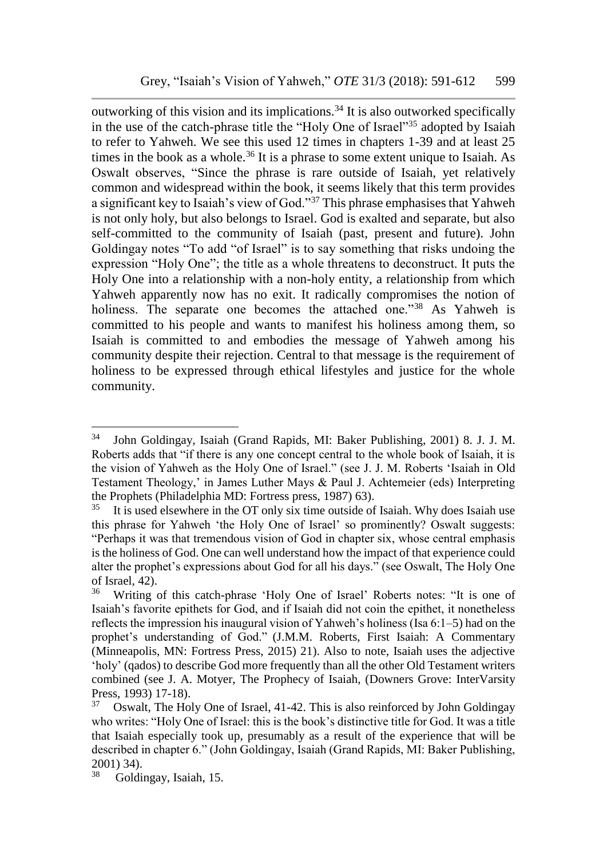outworking of this vision and its implications.<sup>34</sup> It is also outworked specifically in the use of the catch-phrase title the "Holy One of Israel"<sup>35</sup> adopted by Isaiah to refer to Yahweh. We see this used 12 times in chapters 1-39 and at least 25 times in the book as a whole.<sup>36</sup> It is a phrase to some extent unique to Isaiah. As Oswalt observes, "Since the phrase is rare outside of Isaiah, yet relatively common and widespread within the book, it seems likely that this term provides a significant key to Isaiah's view of God."<sup>37</sup> This phrase emphasises that Yahweh is not only holy, but also belongs to Israel. God is exalted and separate, but also self-committed to the community of Isaiah (past, present and future). John Goldingay notes "To add "of Israel" is to say something that risks undoing the expression "Holy One"; the title as a whole threatens to deconstruct. It puts the Holy One into a relationship with a non-holy entity, a relationship from which Yahweh apparently now has no exit. It radically compromises the notion of holiness. The separate one becomes the attached one."<sup>38</sup> As Yahweh is committed to his people and wants to manifest his holiness among them, so Isaiah is committed to and embodies the message of Yahweh among his community despite their rejection. Central to that message is the requirement of holiness to be expressed through ethical lifestyles and justice for the whole community.

<sup>34</sup> John Goldingay, Isaiah (Grand Rapids, MI: Baker Publishing, 2001) 8. J. J. M. Roberts adds that "if there is any one concept central to the whole book of Isaiah, it is the vision of Yahweh as the Holy One of Israel." (see J. J. M. Roberts 'Isaiah in Old Testament Theology,' in James Luther Mays & Paul J. Achtemeier (eds) Interpreting the Prophets (Philadelphia MD: Fortress press, 1987) 63).<br> $^{35}$  It is used elsewhere in the OT only six time outside of

It is used elsewhere in the OT only six time outside of Isaiah. Why does Isaiah use this phrase for Yahweh 'the Holy One of Israel' so prominently? Oswalt suggests: "Perhaps it was that tremendous vision of God in chapter six, whose central emphasis is the holiness of God. One can well understand how the impact of that experience could alter the prophet's expressions about God for all his days." (see Oswalt, The Holy One of Israel, 42).

<sup>36</sup> Writing of this catch-phrase 'Holy One of Israel' Roberts notes: "It is one of Isaiah's favorite epithets for God, and if Isaiah did not coin the epithet, it nonetheless reflects the impression his inaugural vision of Yahweh's holiness (Isa 6:1–5) had on the prophet's understanding of God." (J.M.M. Roberts, First Isaiah: A Commentary (Minneapolis, MN: Fortress Press, 2015) 21). Also to note, Isaiah uses the adjective 'holy' (qados) to describe God more frequently than all the other Old Testament writers combined (see J. A. Motyer, The Prophecy of Isaiah, (Downers Grove: InterVarsity Press, 1993) 17-18).

 $37$  Oswalt, The Holy One of Israel, 41-42. This is also reinforced by John Goldingay who writes: "Holy One of Israel: this is the book's distinctive title for God. It was a title that Isaiah especially took up, presumably as a result of the experience that will be described in chapter 6." (John Goldingay, Isaiah (Grand Rapids, MI: Baker Publishing,  $2001)$  34).<br> $38$  Goldi

<sup>38</sup> Goldingay, Isaiah, 15.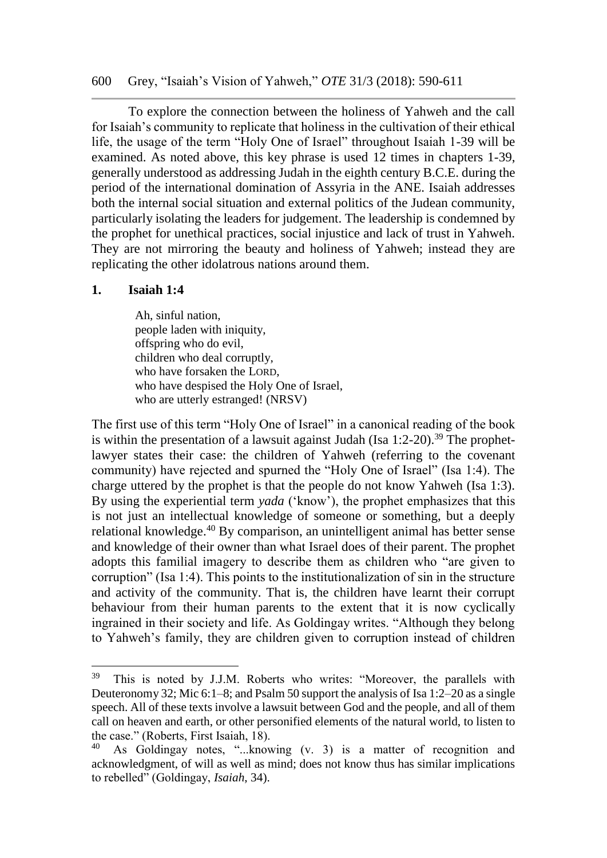600 Grey, "Isaiah's Vision of Yahweh," *OTE* 31/3 (2018): 590-611

To explore the connection between the holiness of Yahweh and the call for Isaiah's community to replicate that holiness in the cultivation of their ethical life, the usage of the term "Holy One of Israel" throughout Isaiah 1-39 will be examined. As noted above, this key phrase is used 12 times in chapters 1-39, generally understood as addressing Judah in the eighth century B.C.E. during the period of the international domination of Assyria in the ANE. Isaiah addresses both the internal social situation and external politics of the Judean community, particularly isolating the leaders for judgement. The leadership is condemned by the prophet for unethical practices, social injustice and lack of trust in Yahweh. They are not mirroring the beauty and holiness of Yahweh; instead they are replicating the other idolatrous nations around them.

#### **1. Isaiah 1:4**

Ah, sinful nation, people laden with iniquity, offspring who do evil, children who deal corruptly, who have forsaken the LORD, who have despised the Holy One of Israel. who are utterly estranged! (NRSV)

The first use of this term "Holy One of Israel" in a canonical reading of the book is within the presentation of a lawsuit against Judah (Isa  $1:2-20$ ).<sup>39</sup> The prophetlawyer states their case: the children of Yahweh (referring to the covenant community) have rejected and spurned the "Holy One of Israel" (Isa 1:4). The charge uttered by the prophet is that the people do not know Yahweh (Isa 1:3). By using the experiential term *yada* ('know'), the prophet emphasizes that this is not just an intellectual knowledge of someone or something, but a deeply relational knowledge.<sup>40</sup> By comparison, an unintelligent animal has better sense and knowledge of their owner than what Israel does of their parent. The prophet adopts this familial imagery to describe them as children who "are given to corruption" (Isa 1:4). This points to the institutionalization of sin in the structure and activity of the community. That is, the children have learnt their corrupt behaviour from their human parents to the extent that it is now cyclically ingrained in their society and life. As Goldingay writes. "Although they belong to Yahweh's family, they are children given to corruption instead of children

<sup>39</sup> This is noted by J.J.M. Roberts who writes: "Moreover, the parallels with Deuteronomy 32; Mic 6:1–8; and Psalm 50 support the analysis of Isa 1:2–20 as a single speech. All of these texts involve a lawsuit between God and the people, and all of them call on heaven and earth, or other personified elements of the natural world, to listen to the case." (Roberts, First Isaiah, 18).<br> $^{40}$  As Goldingay potes "know

As Goldingay notes, "...knowing (v. 3) is a matter of recognition and acknowledgment, of will as well as mind; does not know thus has similar implications to rebelled" (Goldingay, *Isaiah*, 34).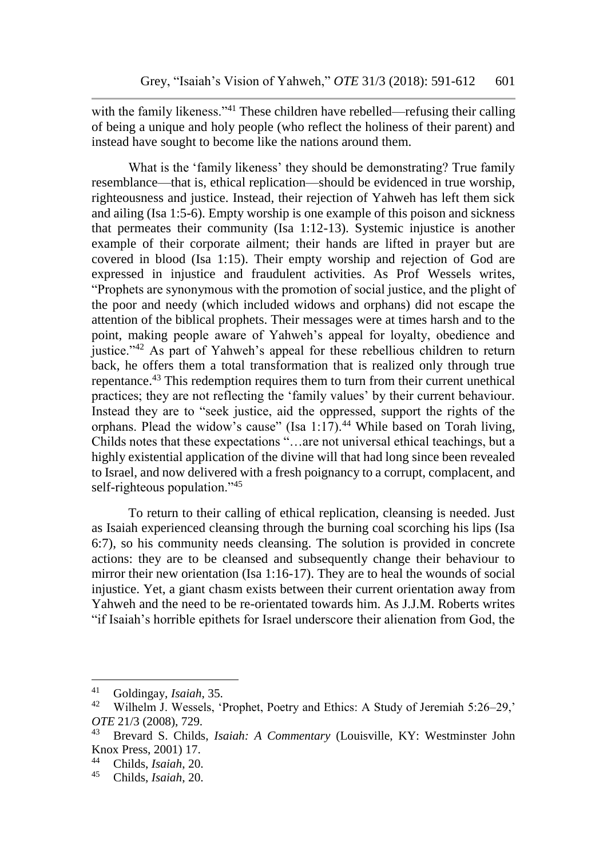with the family likeness."<sup>41</sup> These children have rebelled—refusing their calling of being a unique and holy people (who reflect the holiness of their parent) and instead have sought to become like the nations around them.

What is the 'family likeness' they should be demonstrating? True family resemblance—that is, ethical replication—should be evidenced in true worship, righteousness and justice. Instead, their rejection of Yahweh has left them sick and ailing (Isa 1:5-6). Empty worship is one example of this poison and sickness that permeates their community (Isa 1:12-13). Systemic injustice is another example of their corporate ailment; their hands are lifted in prayer but are covered in blood (Isa 1:15). Their empty worship and rejection of God are expressed in injustice and fraudulent activities. As Prof Wessels writes, "Prophets are synonymous with the promotion of social justice, and the plight of the poor and needy (which included widows and orphans) did not escape the attention of the biblical prophets. Their messages were at times harsh and to the point, making people aware of Yahweh's appeal for loyalty, obedience and justice."<sup>42</sup> As part of Yahweh's appeal for these rebellious children to return back, he offers them a total transformation that is realized only through true repentance.<sup>43</sup> This redemption requires them to turn from their current unethical practices; they are not reflecting the 'family values' by their current behaviour. Instead they are to "seek justice, aid the oppressed, support the rights of the orphans. Plead the widow's cause" (Isa 1:17).<sup>44</sup> While based on Torah living, Childs notes that these expectations "…are not universal ethical teachings, but a highly existential application of the divine will that had long since been revealed to Israel, and now delivered with a fresh poignancy to a corrupt, complacent, and self-righteous population."<sup>45</sup>

To return to their calling of ethical replication, cleansing is needed. Just as Isaiah experienced cleansing through the burning coal scorching his lips (Isa 6:7), so his community needs cleansing. The solution is provided in concrete actions: they are to be cleansed and subsequently change their behaviour to mirror their new orientation (Isa 1:16-17). They are to heal the wounds of social injustice. Yet, a giant chasm exists between their current orientation away from Yahweh and the need to be re-orientated towards him. As J.J.M. Roberts writes "if Isaiah's horrible epithets for Israel underscore their alienation from God, the

<sup>41</sup> Goldingay, *Isaiah*, 35.

<sup>42</sup> Wilhelm J. Wessels, 'Prophet, Poetry and Ethics: A Study of Jeremiah 5:26–29,' *OTE* 21/3 (2008), 729.

<sup>43</sup> Brevard S. Childs, *Isaiah: A Commentary* (Louisville, KY: Westminster John Knox Press, 2001) 17.

<sup>44</sup> Childs, *Isaiah*, 20.

<sup>45</sup> Childs, *Isaiah*, 20.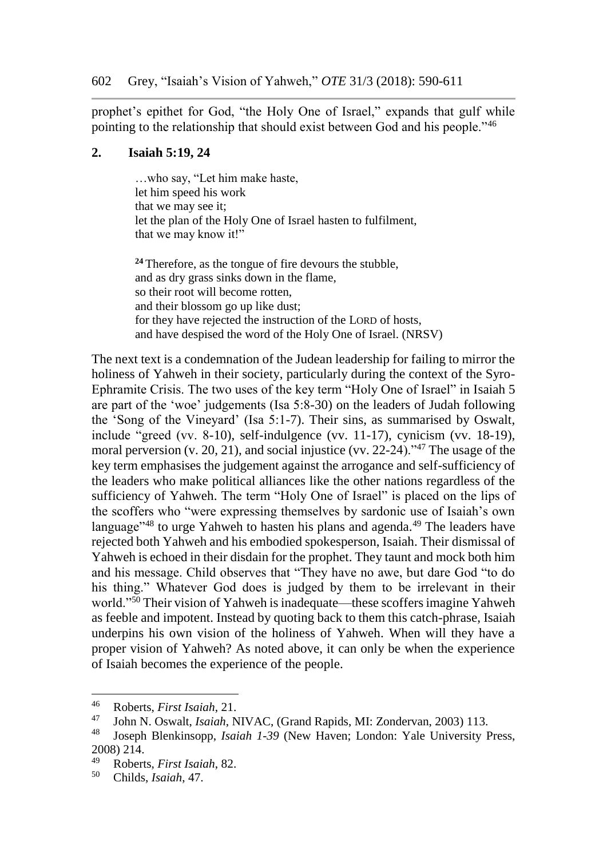prophet's epithet for God, "the Holy One of Israel," expands that gulf while pointing to the relationship that should exist between God and his people."<sup>46</sup>

#### **2. Isaiah 5:19, 24**

…who say, "Let him make haste, let him speed his work that we may see it; let the plan of the Holy One of Israel hasten to fulfilment, that we may know it!"

**<sup>24</sup>** Therefore, as the tongue of fire devours the stubble, and as dry grass sinks down in the flame, so their root will become rotten, and their blossom go up like dust; for they have rejected the instruction of the LORD of hosts, and have despised the word of the Holy One of Israel. (NRSV)

The next text is a condemnation of the Judean leadership for failing to mirror the holiness of Yahweh in their society, particularly during the context of the Syro-Ephramite Crisis. The two uses of the key term "Holy One of Israel" in Isaiah 5 are part of the 'woe' judgements (Isa 5:8-30) on the leaders of Judah following the 'Song of the Vineyard' (Isa 5:1-7). Their sins, as summarised by Oswalt, include "greed (vv. 8-10), self-indulgence (vv. 11-17), cynicism (vv. 18-19), moral perversion (v. 20, 21), and social injustice (vv. 22-24)."<sup>47</sup> The usage of the key term emphasises the judgement against the arrogance and self-sufficiency of the leaders who make political alliances like the other nations regardless of the sufficiency of Yahweh. The term "Holy One of Israel" is placed on the lips of the scoffers who "were expressing themselves by sardonic use of Isaiah's own language<sup>"48</sup> to urge Yahweh to hasten his plans and agenda.<sup>49</sup> The leaders have rejected both Yahweh and his embodied spokesperson, Isaiah. Their dismissal of Yahweh is echoed in their disdain for the prophet. They taunt and mock both him and his message. Child observes that "They have no awe, but dare God "to do his thing." Whatever God does is judged by them to be irrelevant in their world."<sup>50</sup> Their vision of Yahweh is inadequate—these scoffers imagine Yahweh as feeble and impotent. Instead by quoting back to them this catch-phrase, Isaiah underpins his own vision of the holiness of Yahweh. When will they have a proper vision of Yahweh? As noted above, it can only be when the experience of Isaiah becomes the experience of the people.

<sup>46</sup> Roberts, *First Isaiah*, 21.

<sup>47</sup> John N. Oswalt, *Isaiah*, NIVAC, (Grand Rapids, MI: Zondervan, 2003) 113.

Joseph Blenkinsopp, *Isaiah 1-39* (New Haven; London: Yale University Press, 2008) 214.

<sup>49</sup> Roberts, *First Isaiah*, 82.

<sup>50</sup> Childs, *Isaiah*, 47.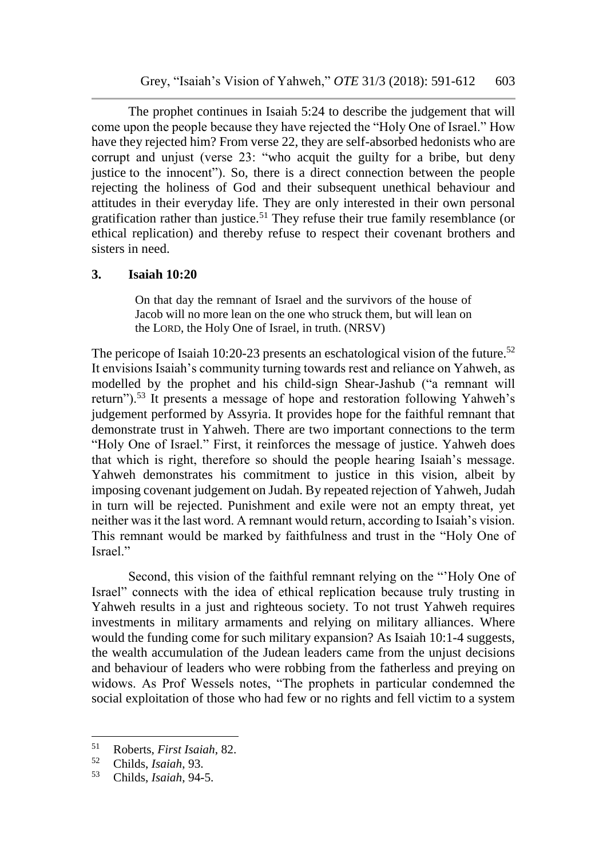The prophet continues in Isaiah 5:24 to describe the judgement that will come upon the people because they have rejected the "Holy One of Israel." How have they rejected him? From verse 22, they are self-absorbed hedonists who are corrupt and unjust (verse 23: "who acquit the guilty for a bribe, but deny justice to the innocent"). So, there is a direct connection between the people rejecting the holiness of God and their subsequent unethical behaviour and attitudes in their everyday life. They are only interested in their own personal gratification rather than justice.<sup>51</sup> They refuse their true family resemblance (or ethical replication) and thereby refuse to respect their covenant brothers and sisters in need.

### **3. Isaiah 10:20**

On that day the remnant of Israel and the survivors of the house of Jacob will no more lean on the one who struck them, but will lean on the LORD, the Holy One of Israel, in truth. (NRSV)

The pericope of Isaiah 10:20-23 presents an eschatological vision of the future.<sup>52</sup> It envisions Isaiah's community turning towards rest and reliance on Yahweh, as modelled by the prophet and his child-sign Shear-Jashub ("a remnant will return").<sup>53</sup> It presents a message of hope and restoration following Yahweh's judgement performed by Assyria. It provides hope for the faithful remnant that demonstrate trust in Yahweh. There are two important connections to the term "Holy One of Israel." First, it reinforces the message of justice. Yahweh does that which is right, therefore so should the people hearing Isaiah's message. Yahweh demonstrates his commitment to justice in this vision, albeit by imposing covenant judgement on Judah. By repeated rejection of Yahweh, Judah in turn will be rejected. Punishment and exile were not an empty threat, yet neither was it the last word. A remnant would return, according to Isaiah's vision. This remnant would be marked by faithfulness and trust in the "Holy One of Israel."

Second, this vision of the faithful remnant relying on the "'Holy One of Israel" connects with the idea of ethical replication because truly trusting in Yahweh results in a just and righteous society. To not trust Yahweh requires investments in military armaments and relying on military alliances. Where would the funding come for such military expansion? As Isaiah 10:1-4 suggests, the wealth accumulation of the Judean leaders came from the unjust decisions and behaviour of leaders who were robbing from the fatherless and preying on widows. As Prof Wessels notes, "The prophets in particular condemned the social exploitation of those who had few or no rights and fell victim to a system

<sup>51</sup> Roberts, *First Isaiah*, 82.

<sup>52</sup> Childs, *Isaiah*, 93.

<sup>53</sup> Childs, *Isaiah*, 94-5.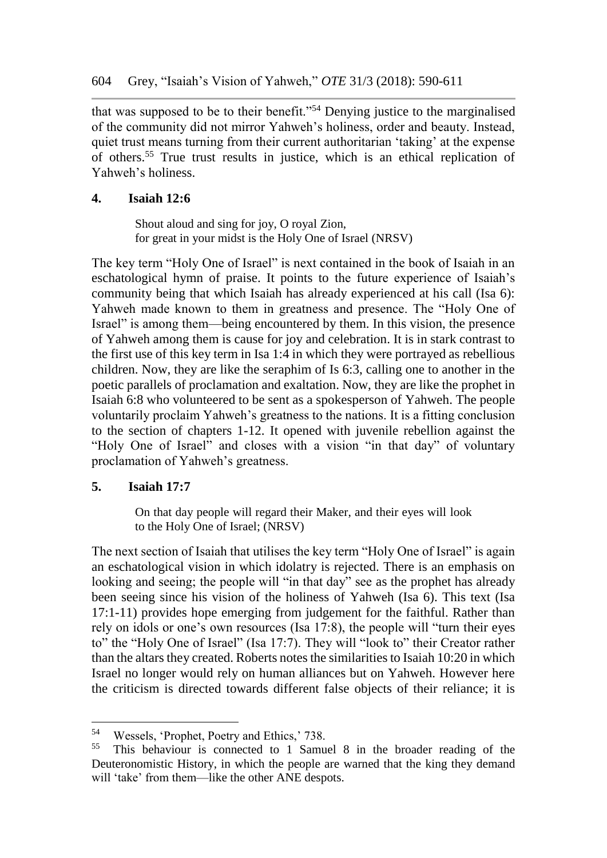that was supposed to be to their benefit."<sup>54</sup> Denying justice to the marginalised of the community did not mirror Yahweh's holiness, order and beauty. Instead, quiet trust means turning from their current authoritarian 'taking' at the expense of others.<sup>55</sup> True trust results in justice, which is an ethical replication of Yahweh's holiness.

### **4. Isaiah 12:6**

Shout aloud and sing for joy, O royal Zion, for great in your midst is the Holy One of Israel (NRSV)

The key term "Holy One of Israel" is next contained in the book of Isaiah in an eschatological hymn of praise. It points to the future experience of Isaiah's community being that which Isaiah has already experienced at his call (Isa 6): Yahweh made known to them in greatness and presence. The "Holy One of Israel" is among them—being encountered by them. In this vision, the presence of Yahweh among them is cause for joy and celebration. It is in stark contrast to the first use of this key term in Isa 1:4 in which they were portrayed as rebellious children. Now, they are like the seraphim of Is 6:3, calling one to another in the poetic parallels of proclamation and exaltation. Now, they are like the prophet in Isaiah 6:8 who volunteered to be sent as a spokesperson of Yahweh. The people voluntarily proclaim Yahweh's greatness to the nations. It is a fitting conclusion to the section of chapters 1-12. It opened with juvenile rebellion against the "Holy One of Israel" and closes with a vision "in that day" of voluntary proclamation of Yahweh's greatness.

### **5. Isaiah 17:7**

 $\overline{a}$ 

On that day people will regard their Maker, and their eyes will look to the Holy One of Israel; (NRSV)

The next section of Isaiah that utilises the key term "Holy One of Israel" is again an eschatological vision in which idolatry is rejected. There is an emphasis on looking and seeing; the people will "in that day" see as the prophet has already been seeing since his vision of the holiness of Yahweh (Isa 6). This text (Isa 17:1-11) provides hope emerging from judgement for the faithful. Rather than rely on idols or one's own resources (Isa 17:8), the people will "turn their eyes to" the "Holy One of Israel" (Isa 17:7). They will "look to" their Creator rather than the altars they created. Roberts notes the similarities to Isaiah 10:20 in which Israel no longer would rely on human alliances but on Yahweh. However here the criticism is directed towards different false objects of their reliance; it is

<sup>&</sup>lt;sup>54</sup> Wessels, 'Prophet, Poetry and Ethics,' 738.<br><sup>55</sup> This behaviour is connected to 1 Semu

This behaviour is connected to 1 Samuel 8 in the broader reading of the Deuteronomistic History, in which the people are warned that the king they demand will 'take' from them—like the other ANE despots.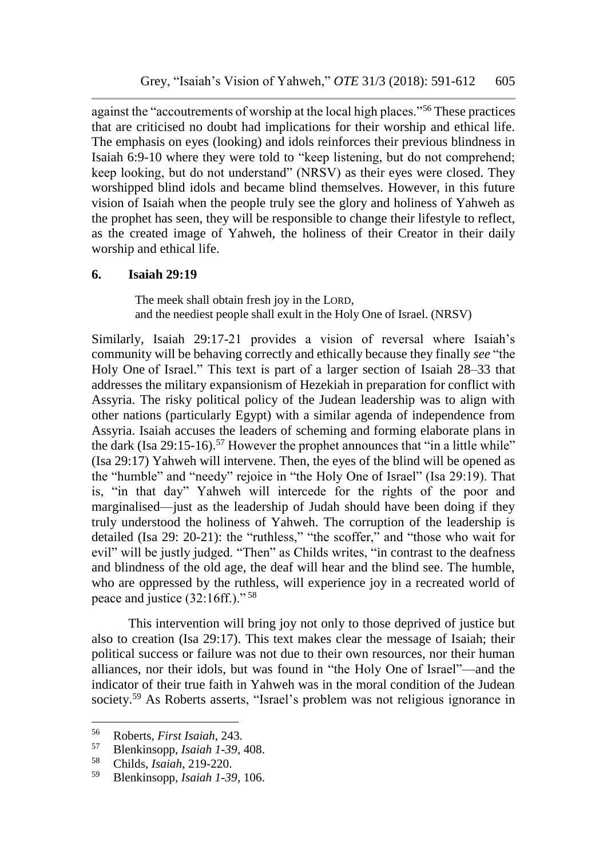against the "accoutrements of worship at the local high places."<sup>56</sup> These practices that are criticised no doubt had implications for their worship and ethical life. The emphasis on eyes (looking) and idols reinforces their previous blindness in Isaiah 6:9-10 where they were told to "keep listening, but do not comprehend; keep looking, but do not understand" (NRSV) as their eyes were closed. They worshipped blind idols and became blind themselves. However, in this future vision of Isaiah when the people truly see the glory and holiness of Yahweh as the prophet has seen, they will be responsible to change their lifestyle to reflect, as the created image of Yahweh, the holiness of their Creator in their daily worship and ethical life.

### **6. Isaiah 29:19**

The meek shall obtain fresh joy in the LORD, and the neediest people shall exult in the Holy One of Israel. (NRSV)

Similarly, Isaiah 29:17-21 provides a vision of reversal where Isaiah's community will be behaving correctly and ethically because they finally *see* "the Holy One of Israel." This text is part of a larger section of Isaiah 28–33 that addresses the military expansionism of Hezekiah in preparation for conflict with Assyria. The risky political policy of the Judean leadership was to align with other nations (particularly Egypt) with a similar agenda of independence from Assyria. Isaiah accuses the leaders of scheming and forming elaborate plans in the dark (Isa 29:15-16).<sup>57</sup> However the prophet announces that "in a little while" (Isa 29:17) Yahweh will intervene. Then, the eyes of the blind will be opened as the "humble" and "needy" rejoice in "the Holy One of Israel" (Isa 29:19). That is, "in that day" Yahweh will intercede for the rights of the poor and marginalised—just as the leadership of Judah should have been doing if they truly understood the holiness of Yahweh. The corruption of the leadership is detailed (Isa 29: 20-21): the "ruthless," "the scoffer," and "those who wait for evil" will be justly judged. "Then" as Childs writes, "in contrast to the deafness and blindness of the old age, the deaf will hear and the blind see. The humble, who are oppressed by the ruthless, will experience joy in a recreated world of peace and justice (32:16ff.)." <sup>58</sup>

This intervention will bring joy not only to those deprived of justice but also to creation (Isa 29:17). This text makes clear the message of Isaiah; their political success or failure was not due to their own resources, nor their human alliances, nor their idols, but was found in "the Holy One of Israel"—and the indicator of their true faith in Yahweh was in the moral condition of the Judean society.<sup>59</sup> As Roberts asserts, "Israel's problem was not religious ignorance in

<sup>56</sup> Roberts, *First Isaiah*, 243.

<sup>57</sup> Blenkinsopp, *Isaiah 1-39*, 408.

<sup>58</sup> Childs, *Isaiah*, 219-220.

<sup>59</sup> Blenkinsopp, *Isaiah 1-39*, 106.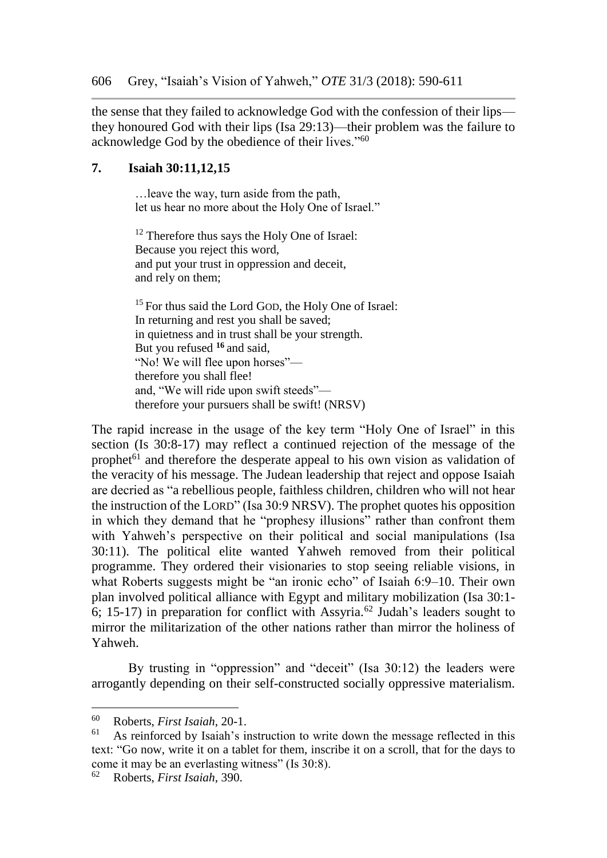the sense that they failed to acknowledge God with the confession of their lips they honoured God with their lips (Isa 29:13)—their problem was the failure to acknowledge God by the obedience of their lives."<sup>60</sup>

#### **7. Isaiah 30:11,12,15**

…leave the way, turn aside from the path, let us hear no more about the Holy One of Israel."

<sup>12</sup> Therefore thus says the Holy One of Israel: Because you reject this word, and put your trust in oppression and deceit, and rely on them;

<sup>15</sup> For thus said the Lord GOD, the Holy One of Israel: In returning and rest you shall be saved; in quietness and in trust shall be your strength. But you refused **<sup>16</sup>** and said, "No! We will flee upon horses" therefore you shall flee! and, "We will ride upon swift steeds" therefore your pursuers shall be swift! (NRSV)

The rapid increase in the usage of the key term "Holy One of Israel" in this section (Is 30:8-17) may reflect a continued rejection of the message of the prophet<sup>61</sup> and therefore the desperate appeal to his own vision as validation of the veracity of his message. The Judean leadership that reject and oppose Isaiah are decried as "a rebellious people, faithless children, children who will not hear the instruction of the LORD" (Isa 30:9 NRSV). The prophet quotes his opposition in which they demand that he "prophesy illusions" rather than confront them with Yahweh's perspective on their political and social manipulations (Isa 30:11). The political elite wanted Yahweh removed from their political programme. They ordered their visionaries to stop seeing reliable visions, in what Roberts suggests might be "an ironic echo" of Isaiah 6:9–10. Their own plan involved political alliance with Egypt and military mobilization (Isa 30:1- 6; 15-17) in preparation for conflict with Assyria.<sup>62</sup> Judah's leaders sought to mirror the militarization of the other nations rather than mirror the holiness of Yahweh.

By trusting in "oppression" and "deceit" (Isa 30:12) the leaders were arrogantly depending on their self-constructed socially oppressive materialism.

l

<sup>62</sup> Roberts, *First Isaiah*, 390.

<sup>60</sup> Roberts, *First Isaiah*, 20-1.

As reinforced by Isaiah's instruction to write down the message reflected in this text: "Go now, write it on a tablet for them, inscribe it on a scroll, that for the days to come it may be an everlasting witness" (Is 30:8).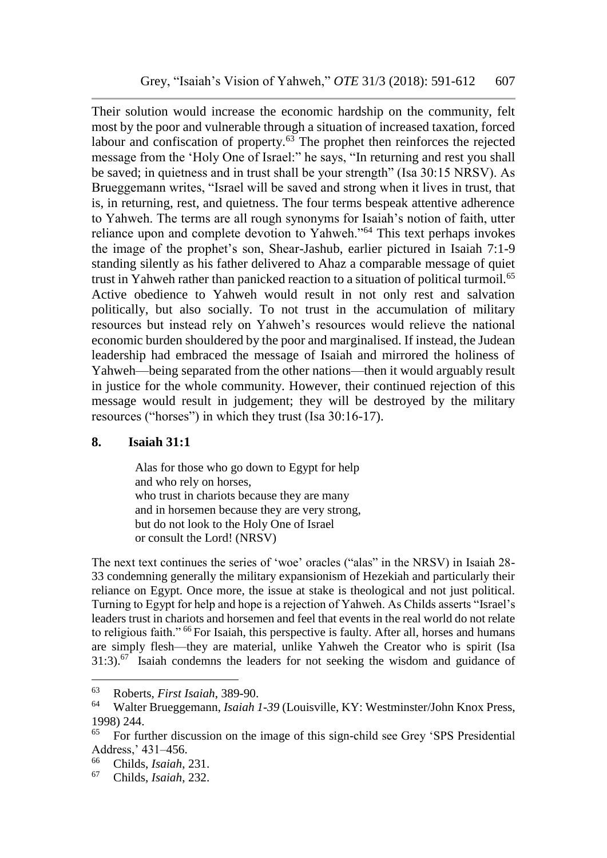Their solution would increase the economic hardship on the community, felt most by the poor and vulnerable through a situation of increased taxation, forced labour and confiscation of property.<sup>63</sup> The prophet then reinforces the rejected message from the 'Holy One of Israel:" he says, "In returning and rest you shall be saved; in quietness and in trust shall be your strength" (Isa 30:15 NRSV). As Brueggemann writes, "Israel will be saved and strong when it lives in trust, that is, in returning, rest, and quietness. The four terms bespeak attentive adherence to Yahweh. The terms are all rough synonyms for Isaiah's notion of faith, utter reliance upon and complete devotion to Yahweh."<sup>64</sup> This text perhaps invokes the image of the prophet's son, Shear-Jashub, earlier pictured in Isaiah 7:1-9 standing silently as his father delivered to Ahaz a comparable message of quiet trust in Yahweh rather than panicked reaction to a situation of political turmoil.<sup>65</sup> Active obedience to Yahweh would result in not only rest and salvation politically, but also socially. To not trust in the accumulation of military resources but instead rely on Yahweh's resources would relieve the national economic burden shouldered by the poor and marginalised. If instead, the Judean leadership had embraced the message of Isaiah and mirrored the holiness of Yahweh—being separated from the other nations—then it would arguably result in justice for the whole community. However, their continued rejection of this message would result in judgement; they will be destroyed by the military resources ("horses") in which they trust (Isa 30:16-17).

### **8. Isaiah 31:1**

Alas for those who go down to Egypt for help and who rely on horses, who trust in chariots because they are many and in horsemen because they are very strong, but do not look to the Holy One of Israel or consult the Lord! (NRSV)

The next text continues the series of 'woe' oracles ("alas" in the NRSV) in Isaiah 28- 33 condemning generally the military expansionism of Hezekiah and particularly their reliance on Egypt. Once more, the issue at stake is theological and not just political. Turning to Egypt for help and hope is a rejection of Yahweh. As Childs asserts "Israel's leaders trust in chariots and horsemen and feel that events in the real world do not relate to religious faith." <sup>66</sup> For Isaiah, this perspective is faulty. After all, horses and humans are simply flesh—they are material, unlike Yahweh the Creator who is spirit (Isa 31:3).<sup>67</sup> Isaiah condemns the leaders for not seeking the wisdom and guidance of

<sup>63</sup> Roberts, *First Isaiah*, 389-90.

<sup>64</sup> Walter Brueggemann, *Isaiah 1-39* (Louisville, KY: Westminster/John Knox Press, 1998) 244.

<sup>65</sup> For further discussion on the image of this sign-child see Grey 'SPS Presidential Address,' 431–456.

<sup>66</sup> Childs, *Isaiah*, 231.

<sup>67</sup> Childs, *Isaiah*, 232.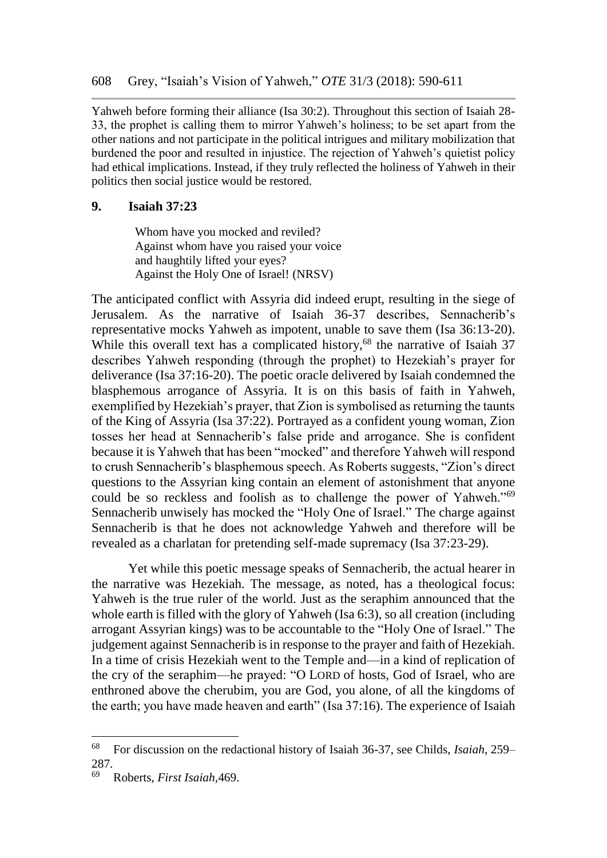Yahweh before forming their alliance (Isa 30:2). Throughout this section of Isaiah 28- 33, the prophet is calling them to mirror Yahweh's holiness; to be set apart from the other nations and not participate in the political intrigues and military mobilization that burdened the poor and resulted in injustice. The rejection of Yahweh's quietist policy had ethical implications. Instead, if they truly reflected the holiness of Yahweh in their politics then social justice would be restored.

### **9. Isaiah 37:23**

Whom have you mocked and reviled? Against whom have you raised your voice and haughtily lifted your eyes? Against the Holy One of Israel! (NRSV)

The anticipated conflict with Assyria did indeed erupt, resulting in the siege of Jerusalem. As the narrative of Isaiah 36-37 describes, Sennacherib's representative mocks Yahweh as impotent, unable to save them (Isa 36:13-20). While this overall text has a complicated history,<sup>68</sup> the narrative of Isaiah 37 describes Yahweh responding (through the prophet) to Hezekiah's prayer for deliverance (Isa 37:16-20). The poetic oracle delivered by Isaiah condemned the blasphemous arrogance of Assyria. It is on this basis of faith in Yahweh, exemplified by Hezekiah's prayer, that Zion is symbolised as returning the taunts of the King of Assyria (Isa 37:22). Portrayed as a confident young woman, Zion tosses her head at Sennacherib's false pride and arrogance. She is confident because it is Yahweh that has been "mocked" and therefore Yahweh will respond to crush Sennacherib's blasphemous speech. As Roberts suggests, "Zion's direct questions to the Assyrian king contain an element of astonishment that anyone could be so reckless and foolish as to challenge the power of Yahweh."<sup>69</sup> Sennacherib unwisely has mocked the "Holy One of Israel." The charge against Sennacherib is that he does not acknowledge Yahweh and therefore will be revealed as a charlatan for pretending self-made supremacy (Isa 37:23-29).

Yet while this poetic message speaks of Sennacherib, the actual hearer in the narrative was Hezekiah. The message, as noted, has a theological focus: Yahweh is the true ruler of the world. Just as the seraphim announced that the whole earth is filled with the glory of Yahweh (Isa 6:3), so all creation (including arrogant Assyrian kings) was to be accountable to the "Holy One of Israel." The judgement against Sennacherib is in response to the prayer and faith of Hezekiah. In a time of crisis Hezekiah went to the Temple and—in a kind of replication of the cry of the seraphim—he prayed: "O LORD of hosts, God of Israel, who are enthroned above the cherubim, you are God, you alone, of all the kingdoms of the earth; you have made heaven and earth" (Isa 37:16). The experience of Isaiah

<sup>68</sup> For discussion on the redactional history of Isaiah 36-37, see Childs, *Isaiah*, 259– 287.

<sup>69</sup> Roberts, *First Isaiah,*469.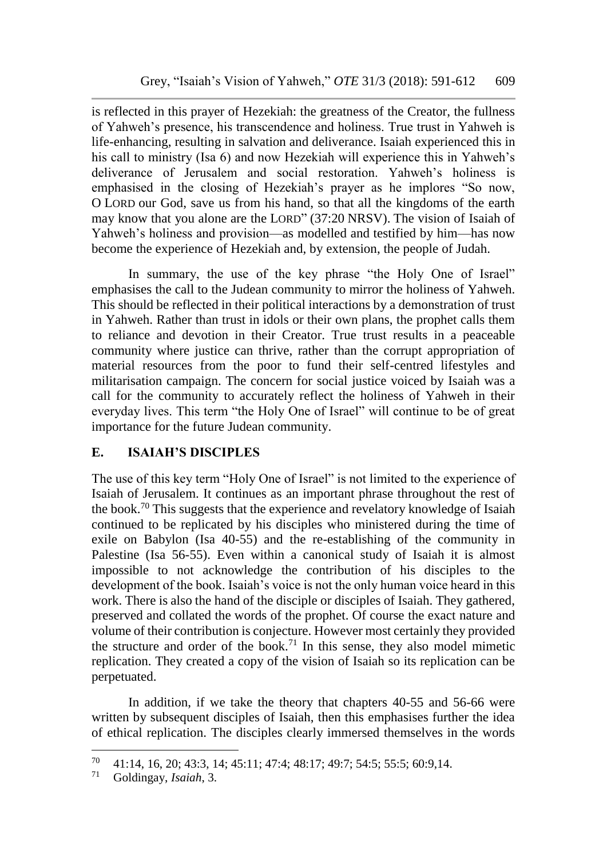is reflected in this prayer of Hezekiah: the greatness of the Creator, the fullness of Yahweh's presence, his transcendence and holiness. True trust in Yahweh is life-enhancing, resulting in salvation and deliverance. Isaiah experienced this in his call to ministry (Isa 6) and now Hezekiah will experience this in Yahweh's deliverance of Jerusalem and social restoration. Yahweh's holiness is emphasised in the closing of Hezekiah's prayer as he implores "So now, O LORD our God, save us from his hand, so that all the kingdoms of the earth may know that you alone are the LORD" (37:20 NRSV). The vision of Isaiah of Yahweh's holiness and provision—as modelled and testified by him—has now become the experience of Hezekiah and, by extension, the people of Judah.

In summary, the use of the key phrase "the Holy One of Israel" emphasises the call to the Judean community to mirror the holiness of Yahweh. This should be reflected in their political interactions by a demonstration of trust in Yahweh. Rather than trust in idols or their own plans, the prophet calls them to reliance and devotion in their Creator. True trust results in a peaceable community where justice can thrive, rather than the corrupt appropriation of material resources from the poor to fund their self-centred lifestyles and militarisation campaign. The concern for social justice voiced by Isaiah was a call for the community to accurately reflect the holiness of Yahweh in their everyday lives. This term "the Holy One of Israel" will continue to be of great importance for the future Judean community.

### **E. ISAIAH'S DISCIPLES**

The use of this key term "Holy One of Israel" is not limited to the experience of Isaiah of Jerusalem. It continues as an important phrase throughout the rest of the book.<sup>70</sup> This suggests that the experience and revelatory knowledge of Isaiah continued to be replicated by his disciples who ministered during the time of exile on Babylon (Isa 40-55) and the re-establishing of the community in Palestine (Isa 56-55). Even within a canonical study of Isaiah it is almost impossible to not acknowledge the contribution of his disciples to the development of the book. Isaiah's voice is not the only human voice heard in this work. There is also the hand of the disciple or disciples of Isaiah. They gathered, preserved and collated the words of the prophet. Of course the exact nature and volume of their contribution is conjecture. However most certainly they provided the structure and order of the book.<sup>71</sup> In this sense, they also model mimetic replication. They created a copy of the vision of Isaiah so its replication can be perpetuated.

In addition, if we take the theory that chapters 40-55 and 56-66 were written by subsequent disciples of Isaiah, then this emphasises further the idea of ethical replication. The disciples clearly immersed themselves in the words

 $70 \quad 41:14, 16, 20; 43:3, 14; 45:11; 47:4; 48:17; 49:7; 54:5; 55:5; 60:9,14.$ 

<sup>71</sup> Goldingay, *Isaiah*, 3.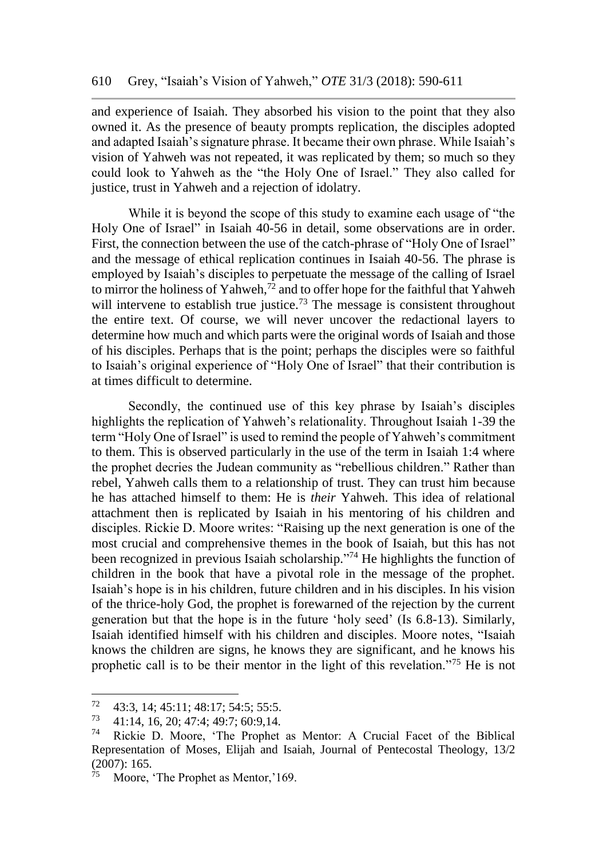and experience of Isaiah. They absorbed his vision to the point that they also owned it. As the presence of beauty prompts replication, the disciples adopted and adapted Isaiah's signature phrase. It became their own phrase. While Isaiah's vision of Yahweh was not repeated, it was replicated by them; so much so they could look to Yahweh as the "the Holy One of Israel." They also called for justice, trust in Yahweh and a rejection of idolatry.

While it is beyond the scope of this study to examine each usage of "the Holy One of Israel" in Isaiah 40-56 in detail, some observations are in order. First, the connection between the use of the catch-phrase of "Holy One of Israel" and the message of ethical replication continues in Isaiah 40-56. The phrase is employed by Isaiah's disciples to perpetuate the message of the calling of Israel to mirror the holiness of Yahweh,<sup>72</sup> and to offer hope for the faithful that Yahweh will intervene to establish true justice.<sup>73</sup> The message is consistent throughout the entire text. Of course, we will never uncover the redactional layers to determine how much and which parts were the original words of Isaiah and those of his disciples. Perhaps that is the point; perhaps the disciples were so faithful to Isaiah's original experience of "Holy One of Israel" that their contribution is at times difficult to determine.

Secondly, the continued use of this key phrase by Isaiah's disciples highlights the replication of Yahweh's relationality. Throughout Isaiah 1-39 the term "Holy One of Israel" is used to remind the people of Yahweh's commitment to them. This is observed particularly in the use of the term in Isaiah 1:4 where the prophet decries the Judean community as "rebellious children." Rather than rebel, Yahweh calls them to a relationship of trust. They can trust him because he has attached himself to them: He is *their* Yahweh. This idea of relational attachment then is replicated by Isaiah in his mentoring of his children and disciples. Rickie D. Moore writes: "Raising up the next generation is one of the most crucial and comprehensive themes in the book of Isaiah, but this has not been recognized in previous Isaiah scholarship." <sup>74</sup> He highlights the function of children in the book that have a pivotal role in the message of the prophet. Isaiah's hope is in his children, future children and in his disciples. In his vision of the thrice-holy God, the prophet is forewarned of the rejection by the current generation but that the hope is in the future 'holy seed' (Is 6.8-13). Similarly, Isaiah identified himself with his children and disciples. Moore notes, "Isaiah knows the children are signs, he knows they are significant, and he knows his prophetic call is to be their mentor in the light of this revelation."<sup>75</sup> He is not

 $72 \quad 43:3, 14; 45:11; 48:17; 54:5; 55:5.$ <br> $73 \quad 41:14, 16, 20:47:4; 40:7; 60:0,14.$ 

<sup>73</sup> 41:14, 16, 20; 47:4; 49:7; 60:9,14.

Rickie D. Moore, 'The Prophet as Mentor: A Crucial Facet of the Biblical Representation of Moses, Elijah and Isaiah, Journal of Pentecostal Theology, 13/2 (2007): 165.

Moore, 'The Prophet as Mentor,'169.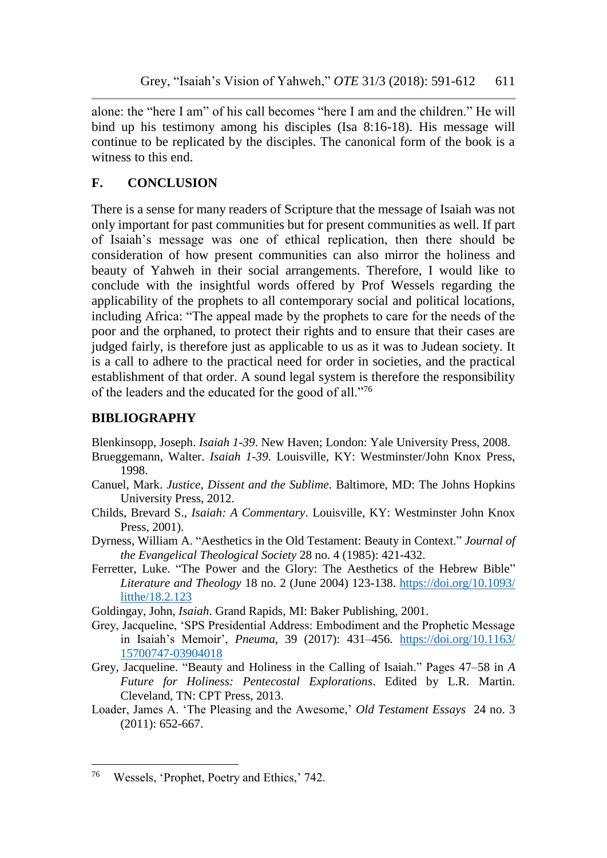alone: the "here I am" of his call becomes "here I am and the children." He will bind up his testimony among his disciples (Isa 8:16-18). His message will continue to be replicated by the disciples. The canonical form of the book is a witness to this end.

# **F. CONCLUSION**

There is a sense for many readers of Scripture that the message of Isaiah was not only important for past communities but for present communities as well. If part of Isaiah's message was one of ethical replication, then there should be consideration of how present communities can also mirror the holiness and beauty of Yahweh in their social arrangements. Therefore, I would like to conclude with the insightful words offered by Prof Wessels regarding the applicability of the prophets to all contemporary social and political locations, including Africa: "The appeal made by the prophets to care for the needs of the poor and the orphaned, to protect their rights and to ensure that their cases are judged fairly, is therefore just as applicable to us as it was to Judean society. It is a call to adhere to the practical need for order in societies, and the practical establishment of that order. A sound legal system is therefore the responsibility of the leaders and the educated for the good of all."<sup>76</sup>

# **BIBLIOGRAPHY**

Blenkinsopp, Joseph. *Isaiah 1-39*. New Haven; London: Yale University Press, 2008.

- Brueggemann, Walter. *Isaiah 1-39*. Louisville, KY: Westminster/John Knox Press, 1998.
- Canuel, Mark. *Justice, Dissent and the Sublime*. Baltimore, MD: The Johns Hopkins University Press, 2012.
- Childs, Brevard S., *Isaiah: A Commentary*. Louisville, KY: Westminster John Knox Press, 2001).
- Dyrness, William A. "Aesthetics in the Old Testament: Beauty in Context." *Journal of the Evangelical Theological Society* 28 no. 4 (1985): 421-432.
- Ferretter, Luke. "The Power and the Glory: The Aesthetics of the Hebrew Bible" *Literature and Theology* 18 no. 2 (June 2004) 123-138. [https://doi.org/10.1093/](https://doi.org/10.1093/%20litthe/18.2.123)  [litthe/18.2.123](https://doi.org/10.1093/%20litthe/18.2.123)
- Goldingay, John, *Isaiah*. Grand Rapids, MI: Baker Publishing, 2001.
- Grey, Jacqueline, 'SPS Presidential Address: Embodiment and the Prophetic Message in Isaiah's Memoir', *Pneuma*, 39 (2017): 431–456. [https://doi.org/10.1163/](https://doi.org/10.1163/%2015700747-03904018)  [15700747-03904018](https://doi.org/10.1163/%2015700747-03904018)
- Grey, Jacqueline. "Beauty and Holiness in the Calling of Isaiah." Pages 47–58 in *A Future for Holiness: Pentecostal Explorations*. Edited by L.R. Martin. Cleveland, TN: CPT Press, 2013.
- Loader, James A. 'The Pleasing and the Awesome,' *Old Testament Essays* 24 no. 3 (2011): 652-667.

l <sup>76</sup> Wessels, 'Prophet, Poetry and Ethics,' 742.